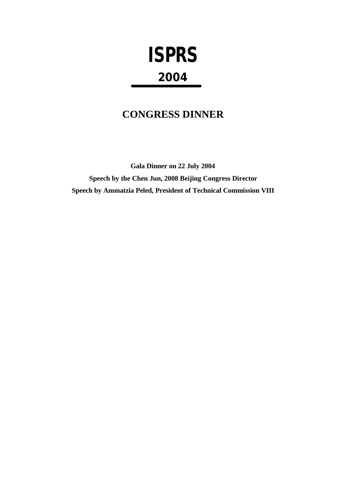# **ISPRS 2004**

## **CONGRESS DINNER**

**Gala Dinner on 22 July 2004 Speech by the Chen Jun, 2008 Beijing Congress Director Speech by Ammatzia Peled, President of Technical Commission VIII**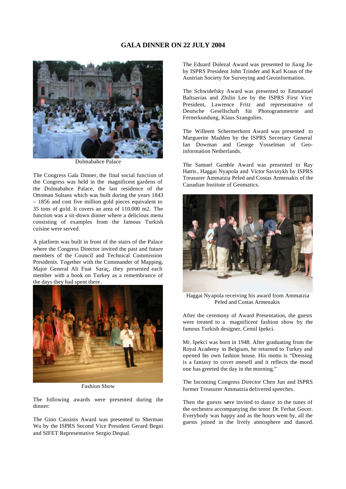#### **GALA DINNER ON 22 JULY 2004**



Dolmabahce Palace

The Congress Gala Dinner, the final social function of the Congress was held in the magnificent gardens of the Dolmabahce Palace, the last residence of the Ottoman Sultans which was built during the years 1843 – 1856 and cost five million gold pieces equivalent to 35 tons of gold. It covers an area of 110.000 m2. The function was a sit-down dinner where a delicious menu consisting of examples from the famous Turkish cuisine were served.

A platform was built in front of the stairs of the Palace where the Congress Director invited the past and future members of the Council and Technical Commission Presidents. Together with the Commander of Mapping, Major General Ali Fuat Saraç, they presented each member with a book on Turkey as a remembrance of the days they had spent there.



Fashion Show

The following awards were presented during the dinner:

The Gino Cassinis Award was presented to Sherman Wu by the ISPRS Second Vice President Gerard Begni and SIFET Representative Sergio Dequal.

The Eduard Dolezal Award was presented to Jiang Jie by ISPRS President John Trinder and Karl Kraus of the Austrian Society for Surveying and Geoinformation.

The Schwidefsky Award was presented to Emmanuel Baltsavias and Zhilin Lee by the ISPRS First Vice President, Lawrence Fritz and representative of Deutsche Gesellschaft für Photogrammetrie and Fernerkundung, Klaus Szangolies.

The Willeem Schermerhorn Award was presented to Marguerite Madden by the ISPRS Secretary General Ian Dowman and George Vosselman of Geoinformation Netherlands.

The Samuel Gamble Award was presented to Ray Harris, Haggai Nyapola and Victor Savinykh by ISPRS Treasurer Ammatzia Peled and Costas Armenakis of the Canadian Institute of Geomatics.



Haggai Nyapola receiving his award from Ammatzia Peled and Costas Armenakis

After the ceremony of Award Presentation, the guests were treated to a magnificent fashion show by the famous Turkish designer, Cemil Ipekci.

Mr. Ipekci was born in 1948. After graduating from the Royal Academy in Belgium, he returned to Turkey and opened his own fashion house. His motto is "Dressing is a fantasy to cover oneself and it reflects the mood one has greeted the day in the morning."

The Incoming Congress Director Chen Jun and ISPRS former Treasurer Ammatzia delivered speeches.

Then the guests were invited to dance to the tunes of the orchestra accompanying the tenor Dr. Ferhat Gocer. Everybody was happy and as the hours went by, all the guests joined in the lively atmosphere and danced.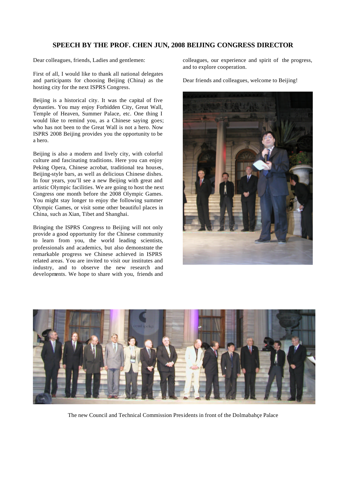### **SPEECH BY THE PROF. CHEN JUN, 2008 BEIJING CONGRESS DIRECTOR**

Dear colleagues, friends, Ladies and gentlemen:

First of all, I would like to thank all national delegates and participants for choosing Beijing (China) as the hosting city for the next ISPRS Congress.

Beijing is a historical city. It was the capital of five dynasties. You may enjoy Forbidden City, Great Wall, Temple of Heaven, Summer Palace, etc. One thing I would like to remind you, as a Chinese saying goes; who has not been to the Great Wall is not a hero. Now ISPRS 2008 Beijing provides you the opportunity to be a hero.

Beijing is also a modern and lively city, with colorful culture and fascinating traditions. Here you can enjoy Peking Opera, Chinese acrobat, traditional tea houses, Beijing-style bars, as well as delicious Chinese dishes. In four years, you'll see a new Beijing with great and artistic Olympic facilities. We are going to host the next Congress one month before the 2008 Olympic Games. You might stay longer to enjoy the following summer Olympic Games, or visit some other beautiful places in China, such as Xian, Tibet and Shanghai.

Bringing the ISPRS Congress to Beijing will not only provide a good opportunity for the Chinese community to learn from you, the world leading scientists, professionals and academics, but also demonstrate the remarkable progress we Chinese achieved in ISPRS related areas. You are invited to visit our institutes and industry, and to observe the new research and developments. We hope to share with you, friends and

colleagues, our experience and spirit of the progress, and to explore cooperation.

Dear friends and colleagues, welcome to Beijing!





The new Council and Technical Commission Presidents in front of the Dolmabahçe Palace